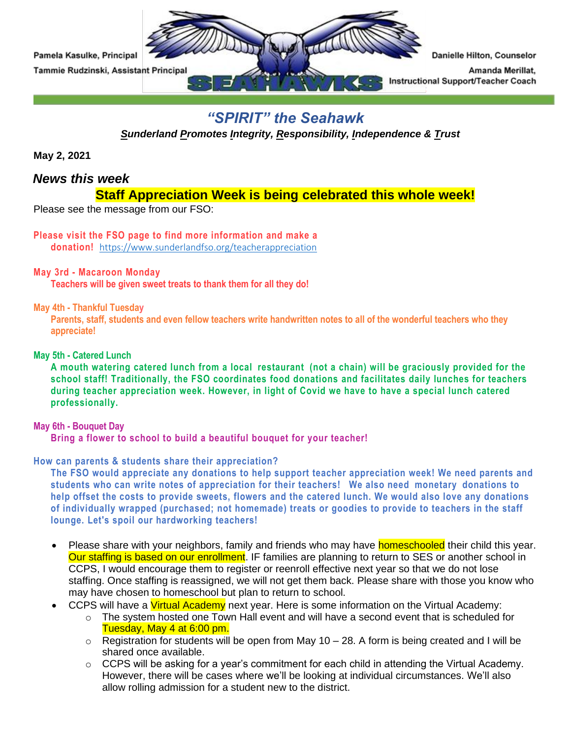

## *"SPIRIT" the Seahawk*

*Sunderland Promotes Integrity, Responsibility, Independence & Trust* 

**May 2, 2021**

## *News this week*

## **Staff Appreciation Week is being celebrated this whole week!**

Please see the message from our FSO:

# **Please visit the FSO page to find more information and make a**

**donation!** [https://www.sunderlandfso.org/teacherappreciation](https://nam02.safelinks.protection.outlook.com/?url=https%3A%2F%2Fwww.sunderlandfso.org%2Fteacherappreciation&data=04%7C01%7CKasulkeP%40calvertnet.k12.md.us%7C93433fefeb0c46f803db08d90bda43ef%7C022d9fca60a34aac9a90c18e51ac527e%7C0%7C0%7C637553854343333012%7CUnknown%7CTWFpbGZsb3d8eyJWIjoiMC4wLjAwMDAiLCJQIjoiV2luMzIiLCJBTiI6Ik1haWwiLCJXVCI6Mn0%3D%7C1000&sdata=GPtKmoE1QfIvVInPv0KEJ7olxkR7OvmT7Q9ETE9KFLk%3D&reserved=0)

## **May 3rd - Macaroon Monday**

**Teachers will be given sweet treats to thank them for all they do!**

## **May 4th - Thankful Tuesday**

Parents, staff, students and even fellow teachers write handwritten notes to all of the wonderful teachers who they **appreciate!**

## **May 5th - Catered Lunch**

A mouth watering catered lunch from a local restaurant (not a chain) will be graciously provided for the **school staff! Traditionally, the FSO coordinates food donations and facilitates daily lunches for teachers during teacher appreciation week. However, in light of Covid we have to have a special lunch catered professionally.**

## **May 6th - Bouquet Day**

**Bring a flower to school to build a beautiful bouquet for your teacher!**

## **How can parents & students share their appreciation?**

**The FSO would appreciate any donations to help support teacher appreciation week! We need parents and students who can write notes of appreciation for their teachers! We also need monetary donations to** help offset the costs to provide sweets, flowers and the catered lunch. We would also love any donations **of individually wrapped (purchased; not homemade) treats or goodies to provide to teachers in the staff lounge. Let's spoil our hardworking teachers!**

- Please share with your neighbors, family and friends who may have **homeschooled** their child this year. Our staffing is based on our enrollment. IF families are planning to return to SES or another school in CCPS, I would encourage them to register or reenroll effective next year so that we do not lose staffing. Once staffing is reassigned, we will not get them back. Please share with those you know who may have chosen to homeschool but plan to return to school.
- CCPS will have a *Virtual Academy* next year. Here is some information on the Virtual Academy:
	- $\circ$  The system hosted one Town Hall event and will have a second event that is scheduled for Tuesday, May 4 at 6:00 pm.
	- $\circ$  Registration for students will be open from May 10 28. A form is being created and I will be shared once available.
	- o CCPS will be asking for a year's commitment for each child in attending the Virtual Academy. However, there will be cases where we'll be looking at individual circumstances. We'll also allow rolling admission for a student new to the district.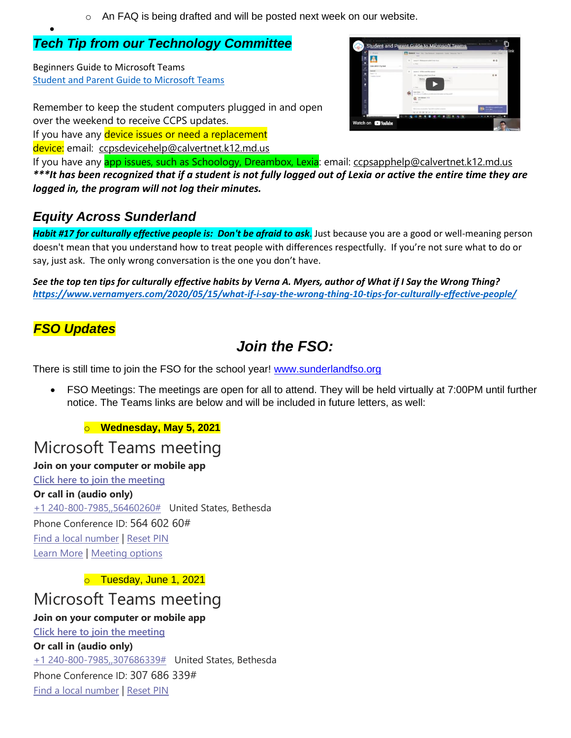o An FAQ is being drafted and will be posted next week on our website.

## *Tech Tip from our Technology Committee*

Beginners Guide to Microsoft Teams [Student and Parent Guide to Microsoft Teams](https://www.youtube.com/watch?v=SemjM2fHV2Q)

Remember to keep the student computers plugged in and open over the weekend to receive CCPS updates. If you have any device issues or need a replacement

device: email: [ccpsdevicehelp@calvertnet.k12.md.us](mailto:ccpsdevicehelp@calvertnet.k12.md.us)

| <b>COM</b> more             | General Aust the Cartesson Assessed Easte Assesse for 11<br>-                                                                             | $-$                                |
|-----------------------------|-------------------------------------------------------------------------------------------------------------------------------------------|------------------------------------|
|                             | League 1 - Glubergame writish it was it was                                                                                               | 60                                 |
| CAA-2010-11v-fivd           | ALL BANK<br>-<br><b>SAFERAS</b>                                                                                                           |                                    |
| <b>Several</b><br>Sun 1. 16 | innier; J .: OCM in port him instead<br>٠                                                                                                 |                                    |
| 1 September 2               | <b>Hineling ended</b> Yune-35 per<br>and dealer<br><b>Sept Atted: 1122</b>                                                                | 0.9                                |
|                             | hall in a distance of small a size including monitor and procedures are observed and<br><b><i>URA BRIGGA</i></b> , 1710<br>÷<br>an finite |                                    |
|                             | Third a time construction. There is to wardton content as                                                                                 | <b>CARLOT BEEN</b>                 |
|                             | $D - 2 - 1 - 1$                                                                                                                           | $\blacksquare$ at an $\frac{1}{2}$ |

If you have any **app issues**, such as Schoology, Dreambox, Lexia: email: [ccpsapphelp@calvertnet.k12.md.us](mailto:ccpsapphelp@calvertnet.k12.md.us) *\*\*\*It has been recognized that if a student is not fully logged out of Lexia or active the entire time they are logged in, the program will not log their minutes.*

# *Equity Across Sunderland*

*Habit #17 for culturally effective people is: Don't be afraid to ask*. Just because you are a good or well-meaning person doesn't mean that you understand how to treat people with differences respectfully. If you're not sure what to do or say, just ask. The only wrong conversation is the one you don't have.

*See the top ten tips for culturally effective habits by Verna A. Myers, author of What if I Say the Wrong Thing? [https://www.vernamyers.com/2020/05/15/what-if-i-say-the-wrong-thing-10-tips-for-culturally-effective-people/](https://nam02.safelinks.protection.outlook.com/?url=https%3A%2F%2Fwww.vernamyers.com%2F2020%2F05%2F15%2Fwhat-if-i-say-the-wrong-thing-10-tips-for-culturally-effective-people%2F&data=04%7C01%7CKasulkeP%40calvertnet.k12.md.us%7C1b8f7281f31c48cf5a8108d8bf1fc00f%7C022d9fca60a34aac9a90c18e51ac527e%7C0%7C0%7C637469490369618263%7CUnknown%7CTWFpbGZsb3d8eyJWIjoiMC4wLjAwMDAiLCJQIjoiV2luMzIiLCJBTiI6Ik1haWwiLCJXVCI6Mn0%3D%7C1000&sdata=I%2BTlDgcKF04OZAhQ1Jrclmt7ECqLommx6z6M6ATR2D4%3D&reserved=0)*

## *FSO Updates*

•

# *Join the FSO:*

There is still time to join the FSO for the school year! [www.sunderlandfso.org](https://nam02.safelinks.protection.outlook.com/?url=http%3A%2F%2Fwww.sunderlandfso.org%2F&data=04%7C01%7CKasulkeP%40calvertnet.k12.md.us%7C06c904ff24d14d2ad03908d8bee0fb37%7C022d9fca60a34aac9a90c18e51ac527e%7C0%7C0%7C637469220789384084%7CUnknown%7CTWFpbGZsb3d8eyJWIjoiMC4wLjAwMDAiLCJQIjoiV2luMzIiLCJBTiI6Ik1haWwiLCJXVCI6Mn0%3D%7C1000&sdata=3WYuf%2BALpQXsIJxNXbwCm49tbx%2BFQdvgAklmY%2F%2Fb1r8%3D&reserved=0)

• FSO Meetings: The meetings are open for all to attend. They will be held virtually at 7:00PM until further notice. The Teams links are below and will be included in future letters, as well:

o **Wednesday, May 5, 2021**

# Microsoft Teams meeting

## **Join on your computer or mobile app**

**[Click here to join the meeting](https://teams.microsoft.com/l/meetup-join/19%3ameeting_YjFhNzUzNTUtODlhZS00ZGM4LTkxMzctMDA0ZDg1MTgyMWY3%40thread.v2/0?context=%7b%22Tid%22%3a%22022d9fca-60a3-4aac-9a90-c18e51ac527e%22%2c%22Oid%22%3a%2249a2b8d9-ffb0-4378-8eab-b96180abd1d7%22%7d) Or call in (audio only)** [+1 240-800-7985,,56460260#](tel:+12408007985,,56460260# ) United States, Bethesda Phone Conference ID: 564 602 60# [Find a local number](https://dialin.teams.microsoft.com/76e85d79-b711-4fb2-8c7e-13d31296aeaf?id=56460260) | [Reset PIN](https://mysettings.lync.com/pstnconferencing)

[Learn More](https://aka.ms/JoinTeamsMeeting) | [Meeting options](https://teams.microsoft.com/meetingOptions/?organizerId=49a2b8d9-ffb0-4378-8eab-b96180abd1d7&tenantId=022d9fca-60a3-4aac-9a90-c18e51ac527e&threadId=19_meeting_YjFhNzUzNTUtODlhZS00ZGM4LTkxMzctMDA0ZDg1MTgyMWY3@thread.v2&messageId=0&language=en-US)

o Tuesday, June 1, 2021

# Microsoft Teams meeting

## **Join on your computer or mobile app**

**[Click here to join the meeting](https://teams.microsoft.com/l/meetup-join/19%3ameeting_YTFhNWMzMDgtNWVhMi00NGJkLTlmYTMtNTBmMDI0YmRjZDRh%40thread.v2/0?context=%7b%22Tid%22%3a%22022d9fca-60a3-4aac-9a90-c18e51ac527e%22%2c%22Oid%22%3a%2249a2b8d9-ffb0-4378-8eab-b96180abd1d7%22%7d) Or call in (audio only)** [+1 240-800-7985,,307686339#](tel:+12408007985,,307686339# ) United States, Bethesda Phone Conference ID: 307 686 339# [Find a local number](https://dialin.teams.microsoft.com/76e85d79-b711-4fb2-8c7e-13d31296aeaf?id=307686339) | [Reset PIN](https://mysettings.lync.com/pstnconferencing)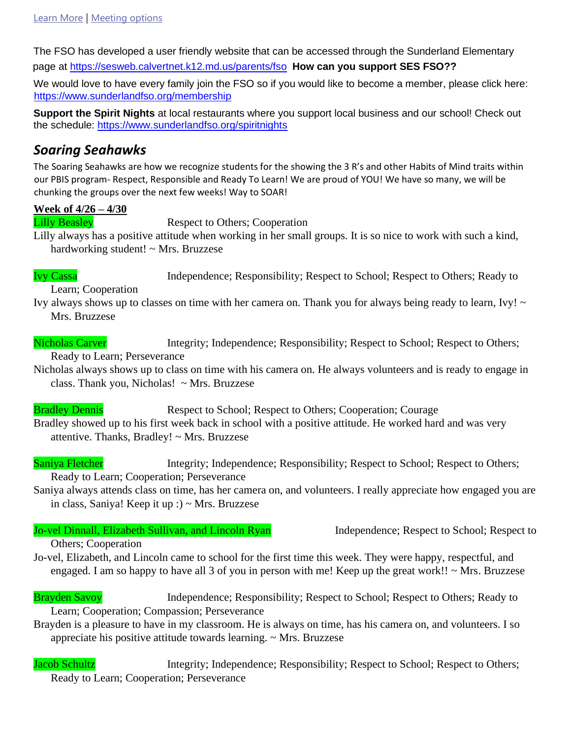The FSO has developed a user friendly website that can be accessed through the Sunderland Elementary page at<https://sesweb.calvertnet.k12.md.us/parents/fso> **[H](https://sesweb.calvertnet.k12.md.us/parents/fso)ow can you support SES FSO??** 

We would love to have every family join the FSO so if you would like to become a member, please click here: <https://www.sunderlandfso.org/membership>

**Support the Spirit Nights** at local restaurants where you support local business and our school! Check out the schedule:<https://www.sunderlandfso.org/spiritnights>

## *Soaring Seahawks*

The Soaring Seahawks are how we recognize students for the showing the 3 R's and other Habits of Mind traits within our PBIS program- Respect, Responsible and Ready To Learn! We are proud of YOU! We have so many, we will be chunking the groups over the next few weeks! Way to SOAR!

## **Week of 4/26 – 4/30**

Lilly Beasley Respect to Others; Cooperation

Lilly always has a positive attitude when working in her small groups. It is so nice to work with such a kind, hardworking student! ~ Mrs. Bruzzese

Ivy Cassa Independence; Responsibility; Respect to School; Respect to Others; Ready to

Learn; Cooperation

Ivy always shows up to classes on time with her camera on. Thank you for always being ready to learn, Ivy! ~ Mrs. Bruzzese

Nicholas Carver Integrity; Independence; Responsibility; Respect to School; Respect to Others; Ready to Learn; Perseverance

Nicholas always shows up to class on time with his camera on. He always volunteers and is ready to engage in class. Thank you, Nicholas! ~ Mrs. Bruzzese

**Bradley Dennis** Respect to School; Respect to Others; Cooperation; Courage Bradley showed up to his first week back in school with a positive attitude. He worked hard and was very attentive. Thanks, Bradley! ~ Mrs. Bruzzese

Saniya Fletcher Integrity; Independence; Responsibility; Respect to School; Respect to Others; Ready to Learn; Cooperation; Perseverance

Saniya always attends class on time, has her camera on, and volunteers. I really appreciate how engaged you are in class, Saniya! Keep it up :) ~ Mrs. Bruzzese

## Jo-vel Dinnall, Elizabeth Sullivan, and Lincoln Ryan Independence; Respect to School; Respect to

## Others; Cooperation

Jo-vel, Elizabeth, and Lincoln came to school for the first time this week. They were happy, respectful, and engaged. I am so happy to have all 3 of you in person with me! Keep up the great work!!  $\sim$  Mrs. Bruzzese

**Brayden Savoy** Independence; Responsibility; Respect to School; Respect to Others; Ready to Learn; Cooperation; Compassion; Perseverance

Brayden is a pleasure to have in my classroom. He is always on time, has his camera on, and volunteers. I so appreciate his positive attitude towards learning. ~ Mrs. Bruzzese

Jacob Schultz Integrity; Independence; Responsibility; Respect to School; Respect to Others; Ready to Learn; Cooperation; Perseverance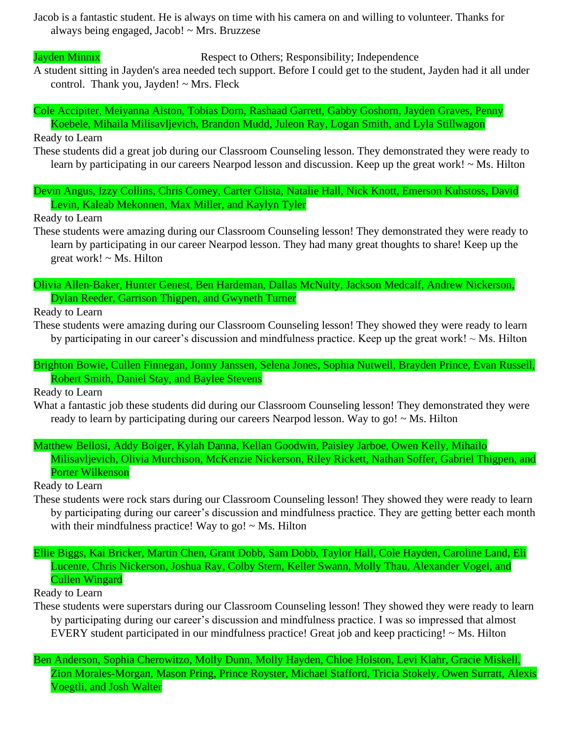Jacob is a fantastic student. He is always on time with his camera on and willing to volunteer. Thanks for always being engaged, Jacob! ~ Mrs. Bruzzese

Jayden Minnix Respect to Others; Responsibility; Independence

A student sitting in Jayden's area needed tech support. Before I could get to the student, Jayden had it all under control. Thank you, Jayden! ~ Mrs. Fleck

Cole Accipiter, Meiyanna Alston, Tobias Dorn, Rashaad Garrett, Gabby Goshorn, Jayden Graves, Penny Koebele, Mihaila Milisavljevich, Brandon Mudd, Juleon Ray, Logan Smith, and Lyla Stillwagon

Ready to Learn

These students did a great job during our Classroom Counseling lesson. They demonstrated they were ready to learn by participating in our careers Nearpod lesson and discussion. Keep up the great work! ~ Ms. Hilton

Devin Angus, Izzy Collins, Chris Comey, Carter Glista, Natalie Hall, Nick Knott, Emerson Kuhstoss, David Levin, Kaleab Mekonnen, Max Miller, and Kaylyn Tyler

Ready to Learn

These students were amazing during our Classroom Counseling lesson! They demonstrated they were ready to learn by participating in our career Nearpod lesson. They had many great thoughts to share! Keep up the great work! ~ Ms. Hilton

Olivia Allen-Baker, Hunter Genest, Ben Hardeman, Dallas McNulty, Jackson Medcalf, Andrew Nickerson, Dylan Reeder, Garrison Thigpen, and Gwyneth Turner

Ready to Learn

These students were amazing during our Classroom Counseling lesson! They showed they were ready to learn by participating in our career's discussion and mindfulness practice. Keep up the great work!  $\sim$  Ms. Hilton

Brighton Bowie, Cullen Finnegan, Jonny Janssen, Selena Jones, Sophia Nutwell, Brayden Prince, Evan Russell, Robert Smith, Daniel Stay, and Baylee Stevens

Ready to Learn

What a fantastic job these students did during our Classroom Counseling lesson! They demonstrated they were ready to learn by participating during our careers Nearpod lesson. Way to go!  $\sim$  Ms. Hilton

Matthew Bellosi, Addy Bolger, Kylah Danna, Kellan Goodwin, Paisley Jarboe, Owen Kelly, Mihailo Milisavljevich, Olivia Murchison, McKenzie Nickerson, Riley Rickett, Nathan Soffer, Gabriel Thigpen, and Porter Wilkenson

Ready to Learn

- These students were rock stars during our Classroom Counseling lesson! They showed they were ready to learn by participating during our career's discussion and mindfulness practice. They are getting better each month with their mindfulness practice! Way to go!  $\sim$  Ms. Hilton
- Ellie Biggs, Kai Bricker, Martin Chen, Grant Dobb, Sam Dobb, Taylor Hall, Cole Hayden, Caroline Land, Eli Lucente, Chris Nickerson, Joshua Ray, Colby Stern, Keller Swann, Molly Thau, Alexander Vogel, and Cullen Wingard

Ready to Learn

These students were superstars during our Classroom Counseling lesson! They showed they were ready to learn by participating during our career's discussion and mindfulness practice. I was so impressed that almost EVERY student participated in our mindfulness practice! Great job and keep practicing! ~ Ms. Hilton

Ben Anderson, Sophia Cherowitzo, Molly Dunn, Molly Hayden, Chloe Holston, Levi Klahr, Gracie Miskell, Zion Morales-Morgan, Mason Pring, Prince Royster, Michael Stafford, Tricia Stokely, Owen Surratt, Alexis Voegtli, and Josh Walter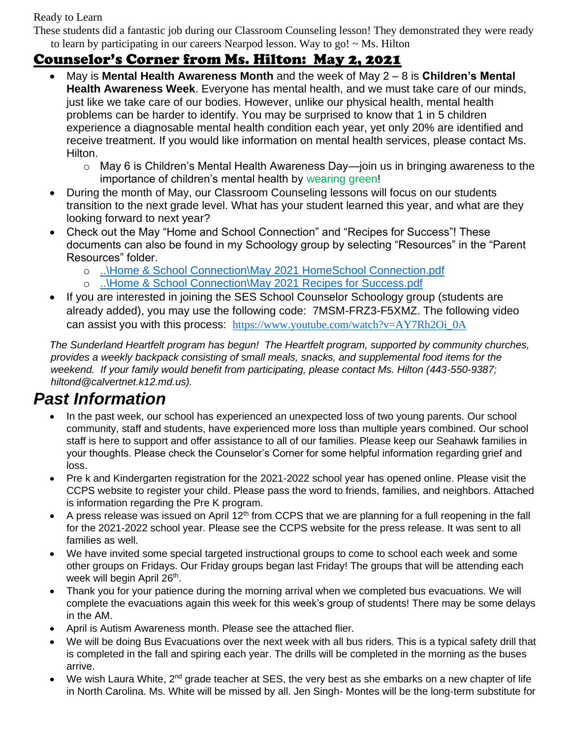Ready to Learn

These students did a fantastic job during our Classroom Counseling lesson! They demonstrated they were ready to learn by participating in our careers Nearpod lesson. Way to go! ~ Ms. Hilton

# Counselor's Corner from Ms. Hilton: May 2, 2021

- May is **Mental Health Awareness Month** and the week of May 2 8 is **Children's Mental Health Awareness Week**. Everyone has mental health, and we must take care of our minds, just like we take care of our bodies. However, unlike our physical health, mental health problems can be harder to identify. You may be surprised to know that 1 in 5 children experience a diagnosable mental health condition each year, yet only 20% are identified and receive treatment. If you would like information on mental health services, please contact Ms. Hilton.
	- o May 6 is Children's Mental Health Awareness Day—join us in bringing awareness to the importance of children's mental health by wearing green!
- During the month of May, our Classroom Counseling lessons will focus on our students transition to the next grade level. What has your student learned this year, and what are they looking forward to next year?
- Check out the May "Home and School Connection" and "Recipes for Success"! These documents can also be found in my Schoology group by selecting "Resources" in the "Parent Resources" folder.
	- o [..\Home & School Connection\May 2021 HomeSchool Connection.pdf](file:///C:/Users/KasulkeP/AppData/Local/Microsoft/Windows/INetCache/Content.Outlook/Home%20&%20School%20Connection/May%202021%20HomeSchool%20Connection.pdf)
	- o [..\Home & School Connection\May 2021 Recipes for Success.pdf](file:///C:/Users/KasulkeP/AppData/Local/Microsoft/Windows/INetCache/Content.Outlook/Home%20&%20School%20Connection/May%202021%20Recipes%20for%20Success.pdf)
- If you are interested in joining the SES School Counselor Schoology group (students are already added), you may use the following code: 7MSM-FRZ3-F5XMZ. The following video can assist you with this process: [https://www.youtube.com/watch?v=AY7Rh2Oi\\_0A](https://nam02.safelinks.protection.outlook.com/?url=https%3A%2F%2Fwww.youtube.com%2Fwatch%3Fv%3DAY7Rh2Oi_0A&data=02%7C01%7Chiltond%40calvertnet.k12.md.us%7C5c552a6d21884304e66a08d8661f1dab%7C022d9fca60a34aac9a90c18e51ac527e%7C0%7C0%7C637371631107238187&sdata=bpLbkraUJqb%2FK3dKxzYSES6%2F02iDoam9HlzcVJ7DUtM%3D&reserved=0)

*The Sunderland Heartfelt program has begun! The Heartfelt program, supported by community churches, provides a weekly backpack consisting of small meals, snacks, and supplemental food items for the weekend. If your family would benefit from participating, please contact Ms. Hilton (443-550-9387; hiltond@calvertnet.k12.md.us).*

# *Past Information*

- In the past week, our school has experienced an unexpected loss of two young parents. Our school community, staff and students, have experienced more loss than multiple years combined. Our school staff is here to support and offer assistance to all of our families. Please keep our Seahawk families in your thoughts. Please check the Counselor's Corner for some helpful information regarding grief and loss.
- Pre k and Kindergarten registration for the 2021-2022 school year has opened online. Please visit the CCPS website to register your child. Please pass the word to friends, families, and neighbors. Attached is information regarding the Pre K program.
- A press release was issued on April 12<sup>th</sup> from CCPS that we are planning for a full reopening in the fall for the 2021-2022 school year. Please see the CCPS website for the press release. It was sent to all families as well.
- We have invited some special targeted instructional groups to come to school each week and some other groups on Fridays. Our Friday groups began last Friday! The groups that will be attending each week will begin April 26<sup>th</sup>.
- Thank you for your patience during the morning arrival when we completed bus evacuations. We will complete the evacuations again this week for this week's group of students! There may be some delays in the AM.
- April is Autism Awareness month. Please see the attached flier.
- We will be doing Bus Evacuations over the next week with all bus riders. This is a typical safety drill that is completed in the fall and spiring each year. The drills will be completed in the morning as the buses arrive.
- We wish Laura White, 2<sup>nd</sup> grade teacher at SES, the very best as she embarks on a new chapter of life in North Carolina. Ms. White will be missed by all. Jen Singh- Montes will be the long-term substitute for